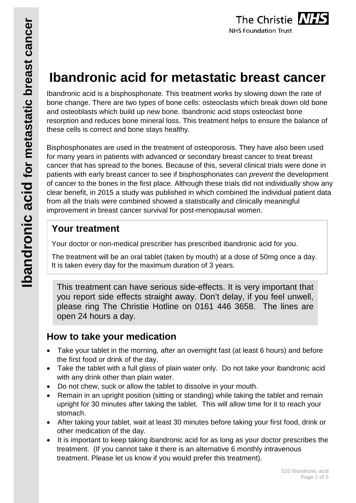

# **Ibandronic acid for metastatic breast cancer**

Ibandronic acid is a bisphosphonate. This treatment works by slowing down the rate of bone change. There are two types of bone cells: osteoclasts which break down old bone and osteoblasts which build up new bone. Ibandronic acid stops osteoclast bone resorption and reduces bone mineral loss. This treatment helps to ensure the balance of these cells is correct and bone stays healthy.

Bisphosphonates are used in the treatment of osteoporosis. They have also been used for many years in patients with advanced or secondary breast cancer to treat breast cancer that has spread to the bones. Because of this, several clinical trials were done in patients with early breast cancer to see if bisphosphonates can *prevent* the development of cancer to the bones in the first place. Although these trials did not individually show any clear benefit, in 2015 a study was published in which combined the individual patient data from all the trials were combined showed a statistically and clinically meaningful improvement in breast cancer survival for post-menopausal women.

# **Your treatment**

Your doctor or non-medical prescriber has prescribed ibandronic acid for you.

The treatment will be an oral tablet (taken by mouth) at a dose of 50mg once a day. It is taken every day for the maximum duration of 3 years.

This treatment can have serious side-effects. It is very important that you report side effects straight away. Don't delay, if you feel unwell, please ring The Christie Hotline on 0161 446 3658. The lines are open 24 hours a day.

# **How to take your medication**

- Take your tablet in the morning, after an overnight fast (at least 6 hours) and before the first food or drink of the day.
- Take the tablet with a full glass of plain water only. Do not take your ibandronic acid with any drink other than plain water.
- Do not chew, suck or allow the tablet to dissolve in your mouth.
- Remain in an upright position (sitting or standing) while taking the tablet and remain upright for 30 minutes after taking the tablet. This will allow time for it to reach your stomach.
- After taking your tablet, wait at least 30 minutes before taking your first food, drink or other medication of the day.
- It is important to keep taking ibandronic acid for as long as your doctor prescribes the treatment. (If you cannot take it there is an alternative 6 monthly intravenous treatment. Please let us know if you would prefer this treatment).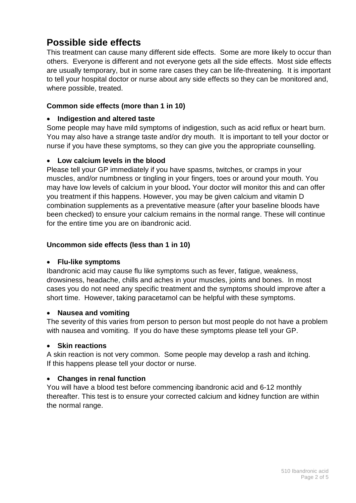# **Possible side effects**

This treatment can cause many different side effects. Some are more likely to occur than others. Everyone is different and not everyone gets all the side effects. Most side effects are usually temporary, but in some rare cases they can be life-threatening. It is important to tell your hospital doctor or nurse about any side effects so they can be monitored and, where possible, treated.

#### **Common side effects (more than 1 in 10)**

#### • **Indigestion and altered taste**

Some people may have mild symptoms of indigestion, such as acid reflux or heart burn. You may also have a strange taste and/or dry mouth. It is important to tell your doctor or nurse if you have these symptoms, so they can give you the appropriate counselling.

#### • **Low calcium levels in the blood**

Please tell your GP immediately if you have spasms, twitches, or cramps in your muscles, and/or numbness or tingling in your fingers, toes or around your mouth. You may have low levels of calcium in your blood**.** Your doctor will monitor this and can offer you treatment if this happens. However, you may be given calcium and vitamin D combination supplements as a preventative measure (after your baseline bloods have been checked) to ensure your calcium remains in the normal range. These will continue for the entire time you are on ibandronic acid.

#### **Uncommon side effects (less than 1 in 10)**

#### • **Flu-like symptoms**

Ibandronic acid may cause flu like symptoms such as fever, fatigue, weakness, drowsiness, headache, chills and aches in your muscles, joints and bones. In most cases you do not need any specific treatment and the symptoms should improve after a short time. However, taking paracetamol can be helpful with these symptoms.

#### • **Nausea and vomiting**

The severity of this varies from person to person but most people do not have a problem with nausea and vomiting. If you do have these symptoms please tell your GP.

#### • **Skin reactions**

A skin reaction is not very common. Some people may develop a rash and itching. If this happens please tell your doctor or nurse.

#### • **Changes in renal function**

You will have a blood test before commencing ibandronic acid and 6-12 monthly thereafter. This test is to ensure your corrected calcium and kidney function are within the normal range.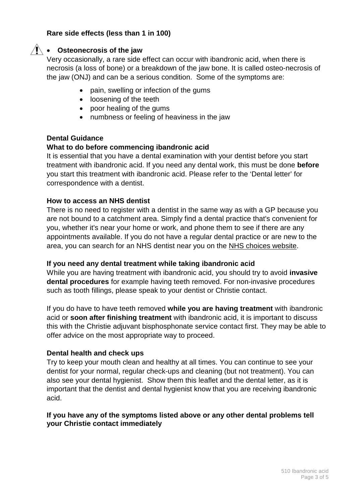#### **Rare side effects (less than 1 in 100)**

### • **Osteonecrosis of the jaw**

Very occasionally, a rare side effect can occur with ibandronic acid, when there is necrosis (a loss of bone) or a breakdown of the jaw bone. It is called osteo-necrosis of the jaw (ONJ) and can be a serious condition. Some of the symptoms are:

- pain, swelling or infection of the gums
- loosening of the teeth
- poor healing of the gums
- numbness or feeling of heaviness in the jaw

#### **Dental Guidance**

#### **What to do before commencing ibandronic acid**

It is essential that you have a dental examination with your dentist before you start treatment with ibandronic acid. If you need any dental work, this must be done **before** you start this treatment with ibandronic acid. Please refer to the 'Dental letter' for correspondence with a dentist.

#### **How to access an NHS dentist**

There is no need to register with a dentist in the same way as with a GP because you are not bound to a catchment area. Simply find a dental practice that's convenient for you, whether it's near your home or work, and phone them to see if there are any appointments available. If you do not have a regular dental practice or are new to the area, you can search for an NHS dentist near you on the NHS choices website.

#### **If you need any dental treatment while taking ibandronic acid**

While you are having treatment with ibandronic acid, you should try to avoid **invasive dental procedures** for example having teeth removed. For non-invasive procedures such as tooth fillings, please speak to your dentist or Christie contact.

If you do have to have teeth removed **while you are having treatment** with ibandronic acid or **soon after finishing treatment** with ibandronic acid, it is important to discuss this with the Christie adjuvant bisphosphonate service contact first. They may be able to offer advice on the most appropriate way to proceed.

#### **Dental health and check ups**

Try to keep your mouth clean and healthy at all times. You can continue to see your dentist for your normal, regular check-ups and cleaning (but not treatment). You can also see your dental hygienist. Show them this leaflet and the dental letter, as it is important that the dentist and dental hygienist know that you are receiving ibandronic acid.

#### **If you have any of the symptoms listed above or any other dental problems tell your Christie contact immediately**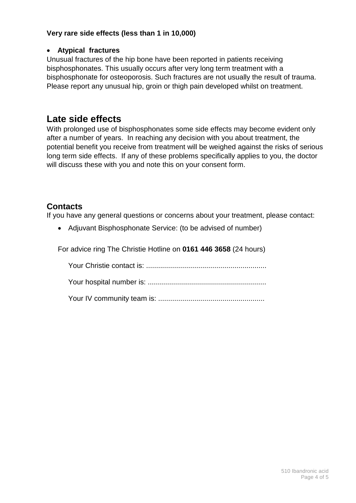#### **Very rare side effects (less than 1 in 10,000)**

#### • **Atypical fractures**

Unusual fractures of the hip bone have been reported in patients receiving bisphosphonates. This usually occurs after very long term treatment with a bisphosphonate for osteoporosis. Such fractures are not usually the result of trauma. Please report any unusual hip, groin or thigh pain developed whilst on treatment.

# **Late side effects**

With prolonged use of bisphosphonates some side effects may become evident only after a number of years. In reaching any decision with you about treatment, the potential benefit you receive from treatment will be weighed against the risks of serious long term side effects. If any of these problems specifically applies to you, the doctor will discuss these with you and note this on your consent form.

## **Contacts**

If you have any general questions or concerns about your treatment, please contact:

• Adjuvant Bisphosphonate Service: (to be advised of number)

For advice ring The Christie Hotline on **0161 446 3658** (24 hours)

Your Christie contact is: ............................................................

Your hospital number is: ...........................................................

Your IV community team is: .....................................................